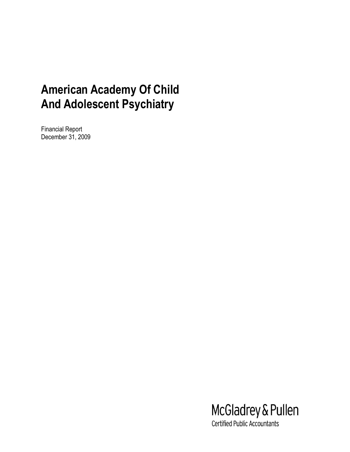Financial Report December 31, 2009



**Certified Public Accountants**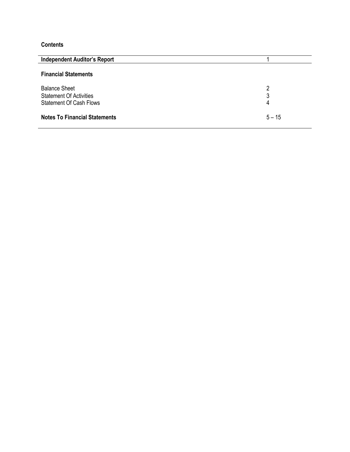# **Contents**

| <b>Independent Auditor's Report</b>                                                      |             |
|------------------------------------------------------------------------------------------|-------------|
| <b>Financial Statements</b>                                                              |             |
| <b>Balance Sheet</b><br><b>Statement Of Activities</b><br><b>Statement Of Cash Flows</b> | 2<br>3<br>4 |
| <b>Notes To Financial Statements</b>                                                     | $5 - 15$    |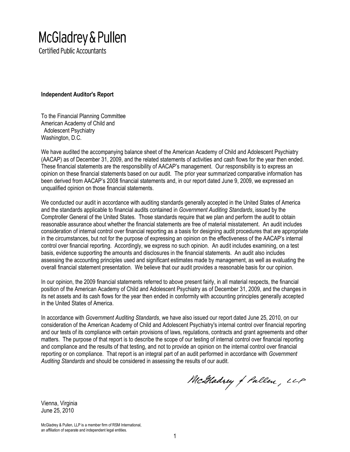# McGladrey & Pullen

**Certified Public Accountants** 

**Independent Auditor's Report**

To the Financial Planning Committee American Academy of Child and Adolescent Psychiatry Washington, D.C.

We have audited the accompanying balance sheet of the American Academy of Child and Adolescent Psychiatry (AACAP) as of December 31, 2009, and the related statements of activities and cash flows for the year then ended. These financial statements are the responsibility of AACAP's management. Our responsibility is to express an opinion on these financial statements based on our audit. The prior year summarized comparative information has been derived from AACAP's 2008 financial statements and, in our report dated June 9, 2009, we expressed an unqualified opinion on those financial statements.

We conducted our audit in accordance with auditing standards generally accepted in the United States of America and the standards applicable to financial audits contained in *Government Auditing Standards*, issued by the Comptroller General of the United States. Those standards require that we plan and perform the audit to obtain reasonable assurance about whether the financial statements are free of material misstatement. An audit includes consideration of internal control over financial reporting as a basis for designing audit procedures that are appropriate in the circumstances, but not for the purpose of expressing an opinion on the effectiveness of the AACAP's internal control over financial reporting. Accordingly, we express no such opinion. An audit includes examining, on a test basis, evidence supporting the amounts and disclosures in the financial statements. An audit also includes assessing the accounting principles used and significant estimates made by management, as well as evaluating the overall financial statement presentation. We believe that our audit provides a reasonable basis for our opinion.

In our opinion, the 2009 financial statements referred to above present fairly, in all material respects, the financial position of the American Academy of Child and Adolescent Psychiatry as of December 31, 2009, and the changes in its net assets and its cash flows for the year then ended in conformity with accounting principles generally accepted in the United States of America.

In accordance with *Government Auditing Standards*, we have also issued our report dated June 25, 2010, on our consideration of the American Academy of Child and Adolescent Psychiatry's internal control over financial reporting and our tests of its compliance with certain provisions of laws, regulations, contracts and grant agreements and other matters. The purpose of that report is to describe the scope of our testing of internal control over financial reporting and compliance and the results of that testing, and not to provide an opinion on the internal control over financial reporting or on compliance. That report is an integral part of an audit performed in accordance with *Government Auditing Standards* and should be considered in assessing the results of our audit.

McHadrey of Pullen, LLP

Vienna, Virginia June 25, 2010

McGladrey & Pullen, LLP is a member firm of RSM International, an affiliation of separate and independent legal entities.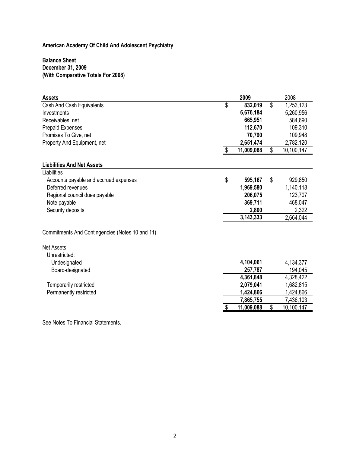# **Balance Sheet December 31, 2009 (With Comparative Totals For 2008)**

| <b>Assets</b>                                   |     | 2009       | 2008             |
|-------------------------------------------------|-----|------------|------------------|
| Cash And Cash Equivalents                       | \$  | 832,019    | \$<br>1,253,123  |
| Investments                                     |     | 6,676,184  | 5,260,956        |
| Receivables, net                                |     | 665,951    | 584,690          |
| <b>Prepaid Expenses</b>                         |     | 112,670    | 109,310          |
| Promises To Give, net                           |     | 70,790     | 109,948          |
| Property And Equipment, net                     |     | 2,651,474  | 2,782,120        |
|                                                 | -\$ | 11,009,088 | \$<br>10,100,147 |
| <b>Liabilities And Net Assets</b>               |     |            |                  |
| Liabilities                                     |     |            |                  |
| Accounts payable and accrued expenses           | \$  | 595,167    | \$<br>929,850    |
| Deferred revenues                               |     | 1,969,580  | 1,140,118        |
| Regional council dues payable                   |     | 206,075    | 123,707          |
| Note payable                                    |     | 369,711    | 468,047          |
| Security deposits                               |     | 2,800      | 2,322            |
|                                                 |     | 3,143,333  | 2,664,044        |
| Commitments And Contingencies (Notes 10 and 11) |     |            |                  |
| <b>Net Assets</b>                               |     |            |                  |
| Unrestricted:                                   |     |            |                  |
| Undesignated                                    |     | 4,104,061  | 4,134,377        |
| Board-designated                                |     | 257,787    | 194,045          |
|                                                 |     | 4,361,848  | 4,328,422        |
| Temporarily restricted                          |     | 2,079,041  | 1,682,815        |
| Permanently restricted                          |     | 1,424,866  | 1,424,866        |
|                                                 |     | 7,865,755  | 7,436,103        |
|                                                 |     | 11,009,088 | \$<br>10,100,147 |

See Notes To Financial Statements.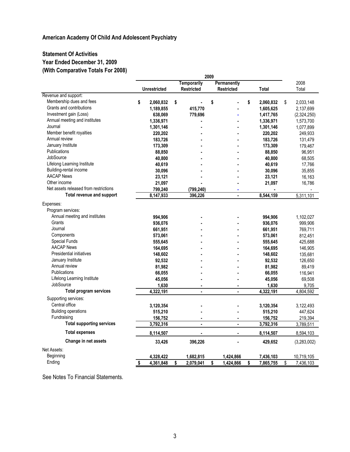# **Statement Of Activities Year Ended December 31, 2009 (With Comparative Totals For 2008)**

|                                       | 2009                              |                      |                   |                    |                    |
|---------------------------------------|-----------------------------------|----------------------|-------------------|--------------------|--------------------|
|                                       | <b>Temporarily</b><br>Permanently |                      | 2008              |                    |                    |
|                                       | <b>Unrestricted</b>               | <b>Restricted</b>    | <b>Restricted</b> | <b>Total</b>       | Total              |
| Revenue and support:                  |                                   |                      |                   |                    |                    |
| Membership dues and fees              | \$<br>2,060,832                   | \$<br>$\blacksquare$ | \$                | \$<br>2,060,832    | 2,033,148<br>\$    |
| Grants and contributions              | 1,189,855                         | 415,770              |                   | 1,605,625          | 2,137,699          |
| Investment gain (Loss)                | 638,069                           | 779,696              |                   | 1,417,765          | (2,324,250)        |
| Annual meeting and institutes         | 1,336,971                         |                      |                   | 1,336,971          | 1,573,700          |
| Journal                               | 1,301,146                         |                      |                   | 1,301,146          | 1,077,899          |
| Member benefit royalties              | 220,202                           |                      |                   | 220,202            | 249,933            |
| Annual review                         | 183,726                           |                      |                   | 183,726            | 131,479            |
| January Institute                     | 173,309                           |                      |                   | 173,309            | 179,467            |
| Publications                          | 88,850                            |                      |                   | 88,850             | 96,951             |
| JobSource                             | 40,800                            |                      |                   | 40,800             | 68,505             |
| Lifelong Learning Institute           | 40,619                            |                      |                   | 40,619             | 17,766             |
| Building-rental income                | 30,096                            |                      |                   | 30,096             | 35,855             |
| <b>AACAP News</b>                     | 23,121                            |                      |                   | 23,121             | 16,163             |
| Other income                          | 21,097                            |                      |                   | 21,097             | 16,786             |
| Net assets released from restrictions | 799,240                           | (799, 240)           |                   |                    |                    |
| Total revenue and support             | 8,147,933                         | 396,226              | ä,                | 8,544,159          | 5,311,101          |
| Expenses:                             |                                   |                      |                   |                    |                    |
| Program services:                     |                                   |                      |                   |                    |                    |
| Annual meeting and institutes         | 994,906                           |                      |                   | 994,906            | 1,102,027          |
| Grants                                | 936,076                           |                      |                   | 936,076            | 999,906            |
| Journal                               | 661,951                           |                      |                   | 661,951            | 769,711            |
| Components                            | 573,061                           |                      |                   | 573,061            | 812,451            |
| <b>Special Funds</b>                  | 555,645                           |                      |                   | 555,645            | 425,688            |
| <b>AACAP News</b>                     | 164,695                           |                      |                   | 164,695            | 146,905            |
| <b>Presidential initiatives</b>       | 148,602                           |                      |                   | 148,602            | 135,681            |
| January Institute                     | 92,532                            |                      |                   | 92,532             | 126,650            |
| Annual review                         | 81,982                            |                      |                   |                    |                    |
| <b>Publications</b>                   |                                   |                      |                   | 81,982             | 89,419<br>116,941  |
| Lifelong Learning Institute           | 66,055<br>45,056                  |                      |                   | 66,055<br>45,056   | 69,508             |
| JobSource                             |                                   | ٠                    |                   |                    |                    |
| <b>Total program services</b>         | 1,630<br>4,322,191                | ä,                   | ä,                | 1,630<br>4,322,191 | 9,705<br>4,804,592 |
|                                       |                                   |                      |                   |                    |                    |
| Supporting services:                  |                                   |                      |                   |                    |                    |
| Central office                        | 3,120,354                         |                      |                   | 3,120,354          | 3,122,493          |
| <b>Building operations</b>            | 515,210                           |                      |                   | 515,210            | 447,624            |
| Fundraising                           | 156,752                           | ä,                   | ۰                 | 156,752            | 219,394            |
| <b>Total supporting services</b>      | 3,792,316                         | $\blacksquare$       | ä,                | 3,792,316          | 3,789,511          |
| <b>Total expenses</b>                 | 8,114,507                         | $\blacksquare$       | ä,                | 8,114,507          | 8,594,103          |
| Change in net assets                  | 33,426                            | 396,226              |                   | 429,652            | (3,283,002)        |
| Net Assets:                           |                                   |                      |                   |                    |                    |
| Beginning                             | 4,328,422                         | 1,682,815            | 1,424,866         | 7,436,103          | 10,719,105         |
| Ending                                | \$<br>4,361,848                   | \$<br>2,079,041      | \$<br>1,424,866   | \$<br>7,865,755    | \$<br>7,436,103    |
|                                       |                                   |                      |                   |                    |                    |

See Notes To Financial Statements.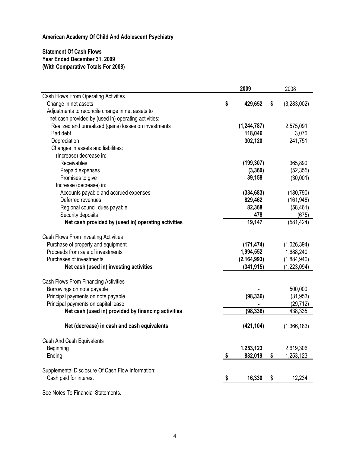# **Statement Of Cash Flows Year Ended December 31, 2009 (With Comparative Totals For 2008)**

|                                                       |                         | 2009          | 2008              |
|-------------------------------------------------------|-------------------------|---------------|-------------------|
| Cash Flows From Operating Activities                  |                         |               |                   |
| Change in net assets                                  | \$                      | 429,652       | \$<br>(3,283,002) |
| Adjustments to reconcile change in net assets to      |                         |               |                   |
| net cash provided by (used in) operating activities:  |                         |               |                   |
| Realized and unrealized (gains) losses on investments |                         | (1,244,787)   | 2,575,091         |
| <b>Bad debt</b>                                       |                         | 118,046       | 3,076             |
| Depreciation                                          |                         | 302,120       | 241,751           |
| Changes in assets and liabilities:                    |                         |               |                   |
| (Increase) decrease in:                               |                         |               |                   |
| Receivables                                           |                         | (199, 307)    | 365,890           |
| Prepaid expenses                                      |                         | (3, 360)      | (52, 355)         |
| Promises to give                                      |                         | 39,158        | (30,001)          |
| Increase (decrease) in:                               |                         |               |                   |
| Accounts payable and accrued expenses                 |                         | (334, 683)    | (180, 790)        |
| Deferred revenues                                     |                         | 829,462       | (161, 948)        |
| Regional council dues payable                         |                         | 82,368        | (58, 461)         |
| Security deposits                                     |                         | 478           | (675)             |
| Net cash provided by (used in) operating activities   |                         | 19,147        | (581, 424)        |
|                                                       |                         |               |                   |
| Cash Flows From Investing Activities                  |                         |               |                   |
| Purchase of property and equipment                    |                         | (171, 474)    | (1,026,394)       |
| Proceeds from sale of investments                     |                         | 1,994,552     | 1,688,240         |
| Purchases of investments                              |                         | (2, 164, 993) | (1,884,940)       |
| Net cash (used in) investing activities               |                         | (341, 915)    | (1, 223, 094)     |
|                                                       |                         |               |                   |
| Cash Flows From Financing Activities                  |                         |               |                   |
| Borrowings on note payable                            |                         |               | 500,000           |
| Principal payments on note payable                    |                         | (98, 336)     | (31, 953)         |
| Principal payments on capital lease                   |                         |               | (29, 712)         |
| Net cash (used in) provided by financing activities   |                         | (98, 336)     | 438,335           |
|                                                       |                         |               |                   |
| Net (decrease) in cash and cash equivalents           |                         | (421, 104)    | (1,366,183)       |
|                                                       |                         |               |                   |
| Cash And Cash Equivalents                             |                         |               |                   |
| Beginning                                             |                         | 1,253,123     | 2,619,306         |
| Ending                                                | $\sqrt[6]{\frac{1}{2}}$ | 832,019       | \$<br>1,253,123   |
| Supplemental Disclosure Of Cash Flow Information:     |                         |               |                   |
| Cash paid for interest                                |                         | 16,330        | \$<br>12,234      |
|                                                       |                         |               |                   |
|                                                       |                         |               |                   |

See Notes To Financial Statements.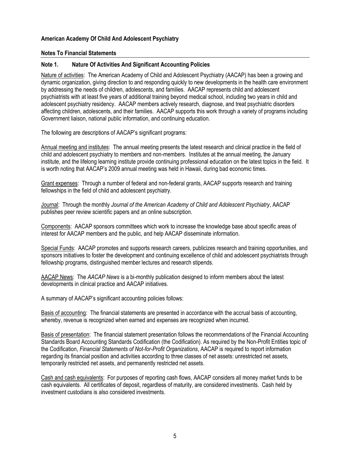#### **Notes To Financial Statements**

#### **Note 1. Nature Of Activities And Significant Accounting Policies**

Nature of activities: The American Academy of Child and Adolescent Psychiatry (AACAP) has been a growing and dynamic organization, giving direction to and responding quickly to new developments in the health care environment by addressing the needs of children, adolescents, and families. AACAP represents child and adolescent psychiatrists with at least five years of additional training beyond medical school, including two years in child and adolescent psychiatry residency. AACAP members actively research, diagnose, and treat psychiatric disorders affecting children, adolescents, and their families. AACAP supports this work through a variety of programs including Government liaison, national public information, and continuing education.

The following are descriptions of AACAP's significant programs:

Annual meeting and institutes: The annual meeting presents the latest research and clinical practice in the field of child and adolescent psychiatry to members and non-members. Institutes at the annual meeting, the January institute, and the lifelong learning institute provide continuing professional education on the latest topics in the field. It is worth noting that AACAP's 2009 annual meeting was held in Hawaii, during bad economic times.

Grant expenses: Through a number of federal and non-federal grants, AACAP supports research and training fellowships in the field of child and adolescent psychiatry.

Journal: Through the monthly *Journal of the American Academy of Child and Adolescent Psychiatry*, AACAP publishes peer review scientific papers and an online subscription.

Components: AACAP sponsors committees which work to increase the knowledge base about specific areas of interest for AACAP members and the public, and help AACAP disseminate information.

Special Funds: AACAP promotes and supports research careers, publicizes research and training opportunities, and sponsors initiatives to foster the development and continuing excellence of child and adolescent psychiatrists through fellowship programs, distinguished member lectures and research stipends.

AACAP News: The *AACAP News* is a bi-monthly publication designed to inform members about the latest developments in clinical practice and AACAP initiatives.

A summary of AACAP's significant accounting policies follows:

Basis of accounting: The financial statements are presented in accordance with the accrual basis of accounting, whereby, revenue is recognized when earned and expenses are recognized when incurred.

Basis of presentation: The financial statement presentation follows the recommendations of the Financial Accounting Standards Board Accounting Standards Codification (the Codification). As required by the Non-Profit Entities topic of the Codification, *Financial Statements of Not-for-Profit Organizations*, AACAP is required to report information regarding its financial position and activities according to three classes of net assets: unrestricted net assets, temporarily restricted net assets, and permanently restricted net assets.

Cash and cash equivalents: For purposes of reporting cash flows, AACAP considers all money market funds to be cash equivalents. All certificates of deposit, regardless of maturity, are considered investments. Cash held by investment custodians is also considered investments.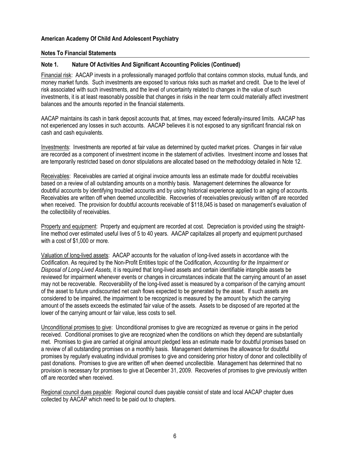#### **Notes To Financial Statements**

#### **Note 1. Nature Of Activities And Significant Accounting Policies (Continued)**

Financial risk: AACAP invests in a professionally managed portfolio that contains common stocks, mutual funds, and money market funds. Such investments are exposed to various risks such as market and credit. Due to the level of risk associated with such investments, and the level of uncertainty related to changes in the value of such investments, it is at least reasonably possible that changes in risks in the near term could materially affect investment balances and the amounts reported in the financial statements.

AACAP maintains its cash in bank deposit accounts that, at times, may exceed federally-insured limits. AACAP has not experienced any losses in such accounts. AACAP believes it is not exposed to any significant financial risk on cash and cash equivalents.

Investments: Investments are reported at fair value as determined by quoted market prices. Changes in fair value are recorded as a component of investment income in the statement of activities. Investment income and losses that are temporarily restricted based on donor stipulations are allocated based on the methodology detailed in Note 12.

Receivables: Receivables are carried at original invoice amounts less an estimate made for doubtful receivables based on a review of all outstanding amounts on a monthly basis. Management determines the allowance for doubtful accounts by identifying troubled accounts and by using historical experience applied to an aging of accounts. Receivables are written off when deemed uncollectible. Recoveries of receivables previously written off are recorded when received. The provision for doubtful accounts receivable of \$118,045 is based on management's evaluation of the collectibility of receivables.

Property and equipment: Property and equipment are recorded at cost. Depreciation is provided using the straightline method over estimated useful lives of 5 to 40 years. AACAP capitalizes all property and equipment purchased with a cost of \$1,000 or more.

Valuation of long-lived assets: AACAP accounts for the valuation of long-lived assets in accordance with the Codification. As required by the Non-Profit Entities topic of the Codification, *Accounting for the Impairment or Disposal of Long-Lived Assets,* it is required that long-lived assets and certain identifiable intangible assets be reviewed for impairment whenever events or changes in circumstances indicate that the carrying amount of an asset may not be recoverable. Recoverability of the long-lived asset is measured by a comparison of the carrying amount of the asset to future undiscounted net cash flows expected to be generated by the asset. If such assets are considered to be impaired, the impairment to be recognized is measured by the amount by which the carrying amount of the assets exceeds the estimated fair value of the assets. Assets to be disposed of are reported at the lower of the carrying amount or fair value, less costs to sell.

Unconditional promises to give: Unconditional promises to give are recognized as revenue or gains in the period received. Conditional promises to give are recognized when the conditions on which they depend are substantially met. Promises to give are carried at original amount pledged less an estimate made for doubtful promises based on a review of all outstanding promises on a monthly basis. Management determines the allowance for doubtful promises by regularly evaluating individual promises to give and considering prior history of donor and collectibility of past donations. Promises to give are written off when deemed uncollectible. Management has determined that no provision is necessary for promises to give at December 31, 2009. Recoveries of promises to give previously written off are recorded when received.

Regional council dues payable: Regional council dues payable consist of state and local AACAP chapter dues collected by AACAP which need to be paid out to chapters.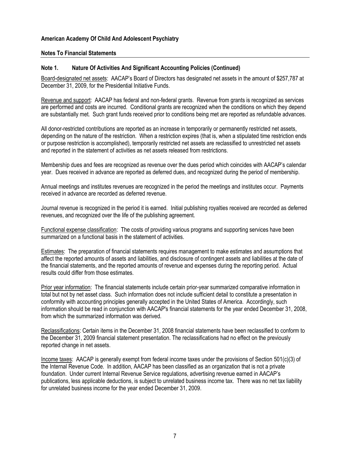#### **Notes To Financial Statements**

#### **Note 1. Nature Of Activities And Significant Accounting Policies (Continued)**

Board-designated net assets: AACAP's Board of Directors has designated net assets in the amount of \$257,787 at December 31, 2009, for the Presidential Initiative Funds.

Revenue and support: AACAP has federal and non-federal grants. Revenue from grants is recognized as services are performed and costs are incurred. Conditional grants are recognized when the conditions on which they depend are substantially met. Such grant funds received prior to conditions being met are reported as refundable advances.

All donor-restricted contributions are reported as an increase in temporarily or permanently restricted net assets, depending on the nature of the restriction. When a restriction expires (that is, when a stipulated time restriction ends or purpose restriction is accomplished), temporarily restricted net assets are reclassified to unrestricted net assets and reported in the statement of activities as net assets released from restrictions.

Membership dues and fees are recognized as revenue over the dues period which coincides with AACAP's calendar year. Dues received in advance are reported as deferred dues, and recognized during the period of membership.

Annual meetings and institutes revenues are recognized in the period the meetings and institutes occur. Payments received in advance are recorded as deferred revenue.

Journal revenue is recognized in the period it is earned. Initial publishing royalties received are recorded as deferred revenues, and recognized over the life of the publishing agreement.

Functional expense classification: The costs of providing various programs and supporting services have been summarized on a functional basis in the statement of activities.

Estimates: The preparation of financial statements requires management to make estimates and assumptions that affect the reported amounts of assets and liabilities, and disclosure of contingent assets and liabilities at the date of the financial statements, and the reported amounts of revenue and expenses during the reporting period. Actual results could differ from those estimates.

Prior year information: The financial statements include certain prior-year summarized comparative information in total but not by net asset class. Such information does not include sufficient detail to constitute a presentation in conformity with accounting principles generally accepted in the United States of America. Accordingly, such information should be read in conjunction with AACAP's financial statements for the year ended December 31, 2008, from which the summarized information was derived.

Reclassifications: Certain items in the December 31, 2008 financial statements have been reclassified to conform to the December 31, 2009 financial statement presentation. The reclassifications had no effect on the previously reported change in net assets.

Income taxes: AACAP is generally exempt from federal income taxes under the provisions of Section 501(c)(3) of the Internal Revenue Code. In addition, AACAP has been classified as an organization that is not a private foundation. Under current Internal Revenue Service regulations, advertising revenue earned in AACAP's publications, less applicable deductions, is subject to unrelated business income tax. There was no net tax liability for unrelated business income for the year ended December 31, 2009.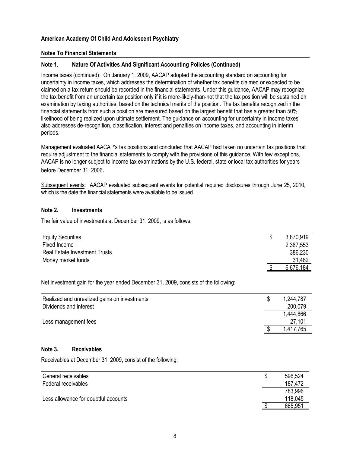#### **Notes To Financial Statements**

#### **Note 1. Nature Of Activities And Significant Accounting Policies (Continued)**

Income taxes (continued): On January 1, 2009, AACAP adopted the accounting standard on accounting for uncertainty in income taxes, which addresses the determination of whether tax benefits claimed or expected to be claimed on a tax return should be recorded in the financial statements. Under this guidance, AACAP may recognize the tax benefit from an uncertain tax position only if it is more-likely-than-not that the tax position will be sustained on examination by taxing authorities, based on the technical merits of the position. The tax benefits recognized in the financial statements from such a position are measured based on the largest benefit that has a greater than 50% likelihood of being realized upon ultimate settlement. The guidance on accounting for uncertainty in income taxes also addresses de-recognition, classification, interest and penalties on income taxes, and accounting in interim periods.

Management evaluated AACAP's tax positions and concluded that AACAP had taken no uncertain tax positions that require adjustment to the financial statements to comply with the provisions of this guidance. With few exceptions, AACAP is no longer subject to income tax examinations by the U.S. federal, state or local tax authorities for years before December 31, 2006.

Subsequent events: AACAP evaluated subsequent events for potential required disclosures through June 25, 2010, which is the date the financial statements were available to be issued.

#### **Note 2. Investments**

The fair value of investments at December 31, 2009, is as follows:

| <b>Equity Securities</b>             | \$<br>3,870,919 |
|--------------------------------------|-----------------|
| Fixed Income                         | 2,387,553       |
| <b>Real Estate Investment Trusts</b> | 386,230         |
| Money market funds                   | 31,482          |
|                                      | 6,676,184       |

Net investment gain for the year ended December 31, 2009, consists of the following:

| Realized and unrealized gains on investments | 1,244,787    |
|----------------------------------------------|--------------|
| Dividends and interest                       | 200,079      |
|                                              | 1,444,866    |
| Less management fees                         | 27,101       |
|                                              | 765.<br>.417 |

#### **Note 3. Receivables**

Receivables at December 31, 2009, consist of the following:

| General receivables                  | S | 596,524 |
|--------------------------------------|---|---------|
| Federal receivables                  |   | 187,472 |
|                                      |   | 783,996 |
| Less allowance for doubtful accounts |   | 118,045 |
|                                      |   | 665,951 |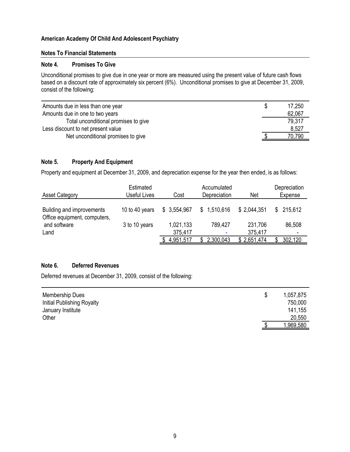#### **Notes To Financial Statements**

#### **Note 4. Promises To Give**

Unconditional promises to give due in one year or more are measured using the present value of future cash flows based on a discount rate of approximately six percent (6%). Unconditional promises to give at December 31, 2009, consist of the following:

| Amounts due in less than one year    | S | 17,250 |
|--------------------------------------|---|--------|
| Amounts due in one to two years      |   | 62,067 |
| Total unconditional promises to give |   | 79,317 |
| Less discount to net present value   |   | 8,527  |
| Net unconditional promises to give   |   | 70,790 |

## **Note 5. Property And Equipment**

Property and equipment at December 31, 2009, and depreciation expense for the year then ended, is as follows:

| <b>Asset Category</b>                                     | Estimated<br>Useful Lives | Cost                 | Accumulated<br>Depreciation | <b>Net</b>         | Depreciation<br>Expense |
|-----------------------------------------------------------|---------------------------|----------------------|-----------------------------|--------------------|-------------------------|
| Building and improvements<br>Office equipment, computers, | 10 to 40 years            | \$3,554,967          | \$1,510,616                 | \$2,044,351        | \$215,612               |
| and software<br>Land                                      | 3 to 10 years             | 1,021,133<br>375,417 | 789,427<br>۰                | 231,706<br>375,417 | 86,508                  |
|                                                           |                           | 4,951,517            | 2,300,043                   | \$2,651,474        | 302,120                 |

#### **Note 6. Deferred Revenues**

Deferred revenues at December 31, 2009, consist of the following:

| <b>Membership Dues</b>     | \$ | 1,057,875 |
|----------------------------|----|-----------|
| Initial Publishing Royalty |    | 750,000   |
| January Institute          |    | 141,155   |
| Other                      |    | 20,550    |
|                            | ጥ  | 1,969,580 |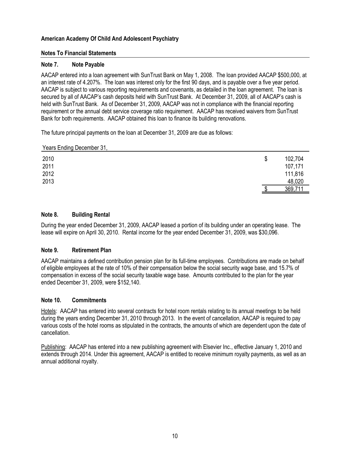#### **Notes To Financial Statements**

#### **Note 7. Note Payable**

AACAP entered into a loan agreement with SunTrust Bank on May 1, 2008. The loan provided AACAP \$500,000, at an interest rate of 4.207%. The loan was interest only for the first 90 days, and is payable over a five year period. AACAP is subject to various reporting requirements and covenants, as detailed in the loan agreement. The loan is secured by all of AACAP's cash deposits held with SunTrust Bank. At December 31, 2009, all of AACAP's cash is held with SunTrust Bank. As of December 31, 2009, AACAP was not in compliance with the financial reporting requirement or the annual debt service coverage ratio requirement. AACAP has received waivers from SunTrust Bank for both requirements. AACAP obtained this loan to finance its building renovations.

The future principal payments on the loan at December 31, 2009 are due as follows:

Years Ending December 31,

| 2010 | \$<br>102,704 |
|------|---------------|
| 2011 | 107,171       |
| 2012 | 111,816       |
| 2013 | 48,020        |
|      | 369,711       |

#### **Note 8. Building Rental**

During the year ended December 31, 2009, AACAP leased a portion of its building under an operating lease. The lease will expire on April 30, 2010. Rental income for the year ended December 31, 2009, was \$30,096.

#### **Note 9. Retirement Plan**

AACAP maintains a defined contribution pension plan for its full-time employees. Contributions are made on behalf of eligible employees at the rate of 10% of their compensation below the social security wage base, and 15.7% of compensation in excess of the social security taxable wage base. Amounts contributed to the plan for the year ended December 31, 2009, were \$152,140.

#### **Note 10. Commitments**

Hotels: AACAP has entered into several contracts for hotel room rentals relating to its annual meetings to be held during the years ending December 31, 2010 through 2013. In the event of cancellation, AACAP is required to pay various costs of the hotel rooms as stipulated in the contracts, the amounts of which are dependent upon the date of cancellation.

Publishing: AACAP has entered into a new publishing agreement with Elsevier Inc., effective January 1, 2010 and extends through 2014. Under this agreement, AACAP is entitled to receive minimum royalty payments, as well as an annual additional royalty.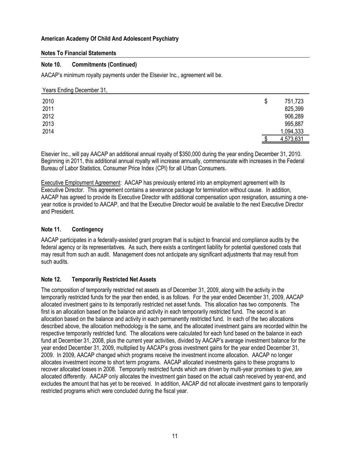#### **Notes To Financial Statements**

#### **Note 10. Commitments (Continued)**

AACAP's minimum royalty payments under the Elsevier Inc., agreement will be.

#### Years Ending December 31,

| 2010 | \$<br>751,723 |
|------|---------------|
| 2011 | 825,399       |
| 2012 | 906,289       |
| 2013 | 995,887       |
| 2014 | 1,094,333     |
|      | 4,573,631     |

Elsevier Inc., will pay AACAP an additional annual royalty of \$350,000 during the year ending December 31, 2010. Beginning in 2011, this additional annual royalty will increase annually, commensurate with increases in the Federal Bureau of Labor Statistics, Consumer Price Index (CPI) for all Urban Consumers.

Executive Employment Agreement: AACAP has previously entered into an employment agreement with its Executive Director. This agreement contains a severance package for termination without cause. In addition, AACAP has agreed to provide its Executive Director with additional compensation upon resignation, assuming a oneyear notice is provided to AACAP, and that the Executive Director would be available to the next Executive Director and President.

## **Note 11. Contingency**

AACAP participates in a federally-assisted grant program that is subject to financial and compliance audits by the federal agency or its representatives. As such, there exists a contingent liability for potential questioned costs that may result from such an audit. Management does not anticipate any significant adjustments that may result from such audits.

## **Note 12. Temporarily Restricted Net Assets**

The composition of temporarily restricted net assets as of December 31, 2009, along with the activity in the temporarily restricted funds for the year then ended, is as follows. For the year ended December 31, 2009, AACAP allocated investment gains to its temporarily restricted net asset funds. This allocation has two components. The first is an allocation based on the balance and activity in each temporarily restricted fund. The second is an allocation based on the balance and activity in each permanently restricted fund. In each of the two allocations described above, the allocation methodology is the same, and the allocated investment gains are recorded within the respective temporarily restricted fund. The allocations were calculated for each fund based on the balance in each fund at December 31, 2008, plus the current year activities, divided by AACAP's average investment balance for the year ended December 31, 2009, multiplied by AACAP's gross investment gains for the year ended December 31, 2009. In 2009, AACAP changed which programs receive the investment income allocation. AACAP no longer allocates investment income to short term programs. AACAP allocated investments gains to these programs to recover allocated losses in 2008. Temporarily restricted funds which are driven by multi-year promises to give, are allocated differently. AACAP only allocates the investment gain based on the actual cash received by year-end, and excludes the amount that has yet to be received. In addition, AACAP did not allocate investment gains to temporarily restricted programs which were concluded during the fiscal year.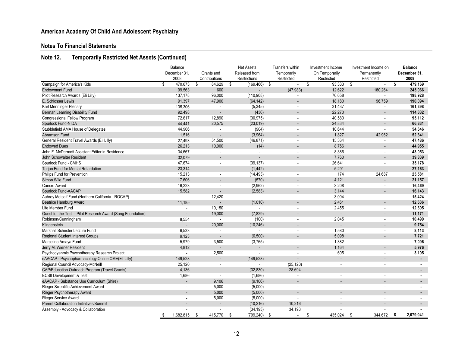# **Notes To Financial Statements**

# **Note 12. Temporarily Restricted Net Assets (Continued)**

|                                                             | Balance                  |    | <b>Net Assets</b>        |    |                              | <b>Transfers within</b> |                          | Investment Income |                          | Investment Income on |                          | <b>Balance</b> |                |
|-------------------------------------------------------------|--------------------------|----|--------------------------|----|------------------------------|-------------------------|--------------------------|-------------------|--------------------------|----------------------|--------------------------|----------------|----------------|
|                                                             | December 31,             |    | Grants and               |    | Released from<br>Temporarily |                         | On Temporarily           |                   | Permanently              |                      | December 31,             |                |                |
|                                                             | 2008                     |    | Contributions            |    | Restrictions                 |                         | Restricted               |                   | Restricted               |                      | Restricted               |                | 2009           |
| Campaign for America's Kids                                 | \$<br>470,673            | \$ | 84,629                   | \$ | (169, 466)                   | \$                      | $\bar{\phantom{a}}$      | s,                | 93,333                   | \$                   | $\mathcal{L}$            | \$             | 479,169        |
| <b>Endowment Fund</b>                                       | 99.563                   |    | 600                      |    |                              |                         | (47, 983)                |                   | 12,622                   |                      | 180.264                  |                | 245.066        |
| Pilot Research Awards (Eli Lilly)                           | 137,178                  |    | 96,000                   |    | (110, 908)                   |                         | $\sim$                   |                   | 76,658                   |                      | $\sim$                   |                | 198,928        |
| E. Schlosser Lewis                                          | 91,397                   |    | 47,900                   |    | (64, 142)                    |                         |                          |                   | 18,180                   |                      | 96,759                   |                | 190,094        |
| Karl Menninger Plenary                                      | 135,306                  |    | $\overline{a}$           |    | (5, 345)                     |                         | $\overline{\phantom{a}}$ |                   | 31,437                   |                      | $\overline{a}$           |                | 161,398        |
| Berman Learning Disability Fund                             | 92,498                   |    | ÷,                       |    | (436)                        |                         |                          |                   | 22,270                   |                      | ÷.                       |                | 114,332        |
| <b>Congressional Fellow Program</b>                         | 72,617                   |    | 12,890                   |    | (30, 975)                    |                         |                          |                   | 40,580                   |                      | $\sim$                   |                | 95.112         |
| Spurlock Fund-NIDA                                          | 44,441                   |    | 20,575                   |    | (23, 019)                    |                         |                          |                   | 24,834                   |                      |                          |                | 66,831         |
| Stubblefield AMA House of Delegates                         | 44,906                   |    | $\sim$                   |    | (904)                        |                         |                          |                   | 10,644                   |                      | $\sim$                   |                | 54,646         |
| Abramson Fund                                               | 11,516                   |    |                          |    | (3,964)                      |                         |                          |                   | 1,827                    |                      | 42,962                   |                | 52,341         |
| General Resident Travel Awards (Eli Lilly)                  | 27,493                   |    | 51,500                   |    | (46, 871)                    |                         |                          |                   | 15,364                   |                      | $\overline{a}$           |                | 47,486         |
| <b>Endowed Dues</b>                                         | 26,213                   |    | 10,000                   |    | (14)                         |                         |                          |                   | 8,756                    |                      | $\overline{a}$           |                | 44,955         |
| John F. McDermott Assistant Editor in Residence             | 34,667                   |    | $\tilde{\phantom{a}}$    |    |                              |                         | $\blacksquare$           |                   | 8,386                    |                      | $\blacksquare$           |                | 43,053         |
| John Schowalter Resident                                    | 32.079                   |    |                          |    |                              |                         |                          |                   | 7,760                    |                      |                          |                | 39.839         |
| Spurlock Fund - CMHS                                        | 47,674                   |    | $\overline{\phantom{a}}$ |    | (39, 137)                    |                         |                          |                   | 26,641                   |                      | $\sim$                   |                | 35,178         |
| Tarjan Fund for Mental Retardation                          | 23,314                   |    |                          |    | (1, 442)                     |                         |                          |                   | 5,291                    |                      | ÷,                       |                | 27,163         |
| Phillps Fund for Prevention                                 | 15,213                   |    | $\tilde{\phantom{a}}$    |    | (14, 493)                    |                         |                          |                   | 174                      |                      | 24,687                   |                | 25,581         |
| Simon Wile Fund                                             | 17,606                   |    | $\overline{a}$           |    | (570)                        |                         |                          |                   | 4,121                    |                      | ÷,                       |                | 21,157         |
| Cancro Award                                                | 16,223                   |    | $\overline{\phantom{a}}$ |    | (2,962)                      |                         |                          |                   | 3,208                    |                      | $\sim$                   |                | 16,469         |
| Spurlock Fund-AACAP                                         | 15,582                   |    |                          |    | (2, 583)                     |                         |                          |                   | 3,144                    |                      | $\overline{\phantom{a}}$ |                | 16,143         |
| Aubrey Metcalf Fund (Northern California - ROCAP)           | $\sim$                   |    | 12,420                   |    | $\sim$                       |                         |                          |                   | 3,004                    |                      | $\sim$                   |                | 15,424         |
| <b>Beatrice Hamburg Award</b>                               | 11.185                   |    |                          |    | (1,010)                      |                         |                          |                   | 2,461                    |                      |                          |                | 12,636         |
| Life Member Fund                                            | $\sim$                   |    | 10,150                   |    | $\sim$                       |                         |                          |                   | 2,455                    |                      | $\sim$                   |                | 12,605         |
| Quest for the Test - Pilot Research Award (Sang Foundation) | $\overline{a}$           |    | 19,000                   |    | (7, 829)                     |                         |                          |                   |                          |                      | $\overline{a}$           |                | 11,171         |
| Robinson/Cunningham                                         | 8,554                    |    | $\sim$                   |    | (100)                        |                         |                          |                   | 2,045                    |                      | $\sim$                   |                | 10,499         |
| Klingenstein                                                |                          |    | 20,000                   |    | (10, 246)                    |                         |                          |                   |                          |                      |                          |                | 9,754          |
| Marshall Schecter Lecture Fund                              | 6,533                    |    | $\overline{\phantom{a}}$ |    | $\sim$                       |                         |                          |                   | 1,580                    |                      | $\sim$                   |                | 8,113          |
| <b>Regional Student Interest Groups</b>                     | 9,123                    |    |                          |    | (6,500)                      |                         |                          |                   | 5,098                    |                      |                          |                | 7,721          |
| Marcelino Amaya Fund                                        | 5,979                    |    | 3,500                    |    | (3,765)                      |                         | $\sim$                   |                   | 1,382                    |                      | $\mathbf{r}$             |                | 7.096          |
| Jerry M. Wiener Resident                                    | 4,812                    |    | $\blacksquare$           |    |                              |                         |                          |                   | 1,164                    |                      | ÷.                       |                | 5,976          |
| Psychodyanmic Psychotherapy Research Project                | $\sim$                   |    | 2,500                    |    | $\overline{a}$               |                         |                          |                   | 605                      |                      | $\sim$                   |                | 3,105          |
| eAACAP - Psychopharmacology Online CME(Eli Lilly)           | 149,528                  |    | $\overline{\phantom{a}}$ |    | (149, 528)                   |                         |                          |                   |                          |                      |                          |                | $\blacksquare$ |
| Regional Council Advocacy-McNeill                           | 25,120                   |    | $\overline{\phantom{a}}$ |    | $\mathbf{r}$                 |                         | (25, 120)                |                   | $\overline{\phantom{a}}$ |                      | $\sim$                   |                |                |
| CAP/Education Outreach Program (Travel Grants)              | 4,136                    |    |                          |    | (32, 830)                    |                         | 28,694                   |                   |                          |                      |                          |                |                |
| <b>ECSII Development &amp; Test</b>                         | 1,686                    |    | $\overline{\phantom{a}}$ |    | (1,686)                      |                         |                          |                   | ٠                        |                      | $\sim$                   |                |                |
| eAACAP - Substance Use Curriculum (Shire)                   | $\overline{a}$           |    | 9,106                    |    | (9, 106)                     |                         |                          |                   |                          |                      |                          |                | $\blacksquare$ |
| Rieger Scientific Achievement Award                         | $\sim$                   |    | 5,000                    |    | (5,000)                      |                         |                          |                   |                          |                      |                          |                |                |
| Rieger Psychotherapy Award                                  |                          |    | 5,000                    |    | (5,000)                      |                         |                          |                   |                          |                      |                          |                |                |
| Rieger Service Award                                        | ä,                       |    | 5,000                    |    | (5,000)                      |                         | $\sim$                   |                   |                          |                      | $\sim$                   |                | $\blacksquare$ |
| <b>Parent Collaboration Initiatives/Summit</b>              |                          |    |                          |    | (10, 216)                    |                         | 10,216                   |                   |                          |                      |                          |                |                |
| Assembly - Advocacy & Collaboration                         | $\overline{\phantom{a}}$ |    | $\tilde{\phantom{a}}$    |    | (34, 193)                    |                         | 34,193                   |                   | ÷.                       |                      | ÷.                       |                | $\blacksquare$ |
|                                                             | \$<br>1,682,815          | \$ | 415,770                  | \$ | (799, 240)                   | \$                      | $\sim$                   | \$                | 435,024                  | \$                   | 344,672                  | \$             | 2.079.041      |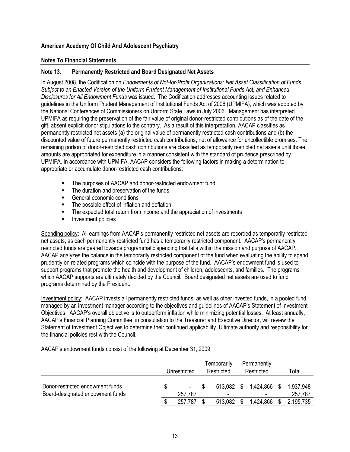#### **Notes To Financial Statements**

## **Note 13. Permanently Restricted and Board Designated Net Assets**

In August 2008, the Codification on *Endowments of Not-for-Profit Organizations: Net Asset Classification of Funds Subject to an Enacted Version of the Uniform Prudent Management of Institutional Funds Act, and Enhanced Disclosures for All Endowment Funds* was issued. The Codification addresses accounting issues related to guidelines in the Uniform Prudent Management of Institutional Funds Act of 2006 (UPMIFA), which was adopted by the National Conferences of Commissioners on Uniform State Laws in July 2006. Management has interpreted UPMIFA as requiring the preservation of the fair value of original donor-restricted contributions as of the date of the gift, absent explicit donor stipulations to the contrary. As a result of this interpretation, AACAP classifies as permanently restricted net assets (a) the original value of permanently restricted cash contributions and (b) the discounted value of future permanently restricted cash contributions, net of allowance for uncollectible promises. The remaining portion of donor-restricted cash contributions are classified as temporarily restricted net assets until those amounts are appropriated for expenditure in a manner consistent with the standard of prudence prescribed by UPMIFA. In accordance with UPMIFA, AACAP considers the following factors in making a determination to appropriate or accumulate donor-restricted cash contributions:

- The purposes of AACAP and donor-restricted endowment fund
- The duration and preservation of the funds
- General economic conditions
- The possible effect of inflation and deflation
- The expected total return from income and the appreciation of investments
- **Investment policies**

Spending policy: All earnings from AACAP's permanently restricted net assets are recorded as temporarily restricted net assets, as each permanently restricted fund has a temporarily restricted component. AACAP's permanently restricted funds are geared towards programmatic spending that falls within the mission and purpose of AACAP. AACAP analyzes the balance in the temporarily restricted component of the fund when evaluating the ability to spend prudently on related programs which coincide with the purpose of the fund. AACAP's endowment fund is used to support programs that promote the health and development of children, adolescents, and families. The programs which AACAP supports are ultimately decided by the Council. Board designated net assets are used to fund programs determined by the President.

Investment policy: AACAP invests all permanently restricted funds, as well as other invested funds, in a pooled fund managed by an investment manager according to the objectives and guidelines of AACAP's Statement of Investment Objectives. AACAP's overall objective is to outperform inflation while minimizing potential losses. At least annually, AACAP's Financial Planning Committee, in consultation to the Treasurer and Executive Director, will review the Statement of Investment Objectives to determine their continued applicability. Ultimate authority and responsibility for the financial policies rest with the Council.

AACAP's endowment funds consist of the following at December 31, 2009:

|                                                                      | Unrestricted      | Temporarily<br>Restricted              | Permanently<br>Restricted                | ™otal                |
|----------------------------------------------------------------------|-------------------|----------------------------------------|------------------------------------------|----------------------|
| Donor-restricted endowment funds<br>Board-designated endowment funds | $\sim$<br>257,787 | 513.082 \$<br>$\overline{\phantom{0}}$ | 1,424,866 \$<br>$\overline{\phantom{0}}$ | 1,937,948<br>257,787 |
|                                                                      | 257.787           | 513,082                                | .424,866                                 | 2,195,735            |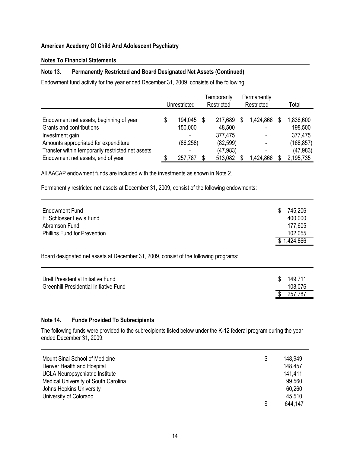#### **Notes To Financial Statements**

## **Note 13. Permanently Restricted and Board Designated Net Assets (Continued)**

Endowment fund activity for the year ended December 31, 2009, consists of the following:

|                                                   |   | Unrestricted | Temporarily<br>Restricted |   | Permanently<br>Restricted |   | Total      |
|---------------------------------------------------|---|--------------|---------------------------|---|---------------------------|---|------------|
| Endowment net assets, beginning of year           | S | 194,045      | 217,689                   | S | 1,424,866                 | S | 1,836,600  |
| Grants and contributions                          |   | 150,000      | 48,500                    |   |                           |   | 198,500    |
| Investment gain                                   |   |              | 377,475                   |   |                           |   | 377,475    |
| Amounts appropriated for expenditure              |   | (86, 258)    | (82, 599)                 |   |                           |   | (168, 857) |
| Transfer within temporarily restricted net assets |   |              | (47,983)                  |   |                           |   | (47, 983)  |
| Endowment net assets, end of year                 |   | 257,787      | 513,082                   |   | ,424,866                  |   | 2,195,735  |

All AACAP endowment funds are included with the investments as shown in Note 2.

Permanently restricted net assets at December 31, 2009, consist of the following endowments:

| <b>Endowment Fund</b>               | 745,206<br>S |
|-------------------------------------|--------------|
| E. Schlosser Lewis Fund             | 400,000      |
| Abramson Fund                       | 177,605      |
| <b>Phillips Fund for Prevention</b> | 102,055      |
|                                     | \$1,424,866  |

Board designated net assets at December 31, 2009, consist of the following programs:

| Drell Presidential Initiative Fund<br><b>Greenhill Presidential Initiative Fund</b> |    | \$149,711<br>108,076 |
|-------------------------------------------------------------------------------------|----|----------------------|
|                                                                                     | S. | 257,787              |

#### **Note 14. Funds Provided To Subrecipients**

The following funds were provided to the subrecipients listed below under the K-12 federal program during the year ended December 31, 2009:

| Mount Sinai School of Medicine       | \$<br>148.949 |
|--------------------------------------|---------------|
| Denver Health and Hospital           | 148,457       |
| UCLA Neuropsychiatric Institute      | 141,411       |
| Medical University of South Carolina | 99,560        |
| Johns Hopkins University             | 60,260        |
| University of Colorado               | 45,510        |
|                                      | 644,147       |